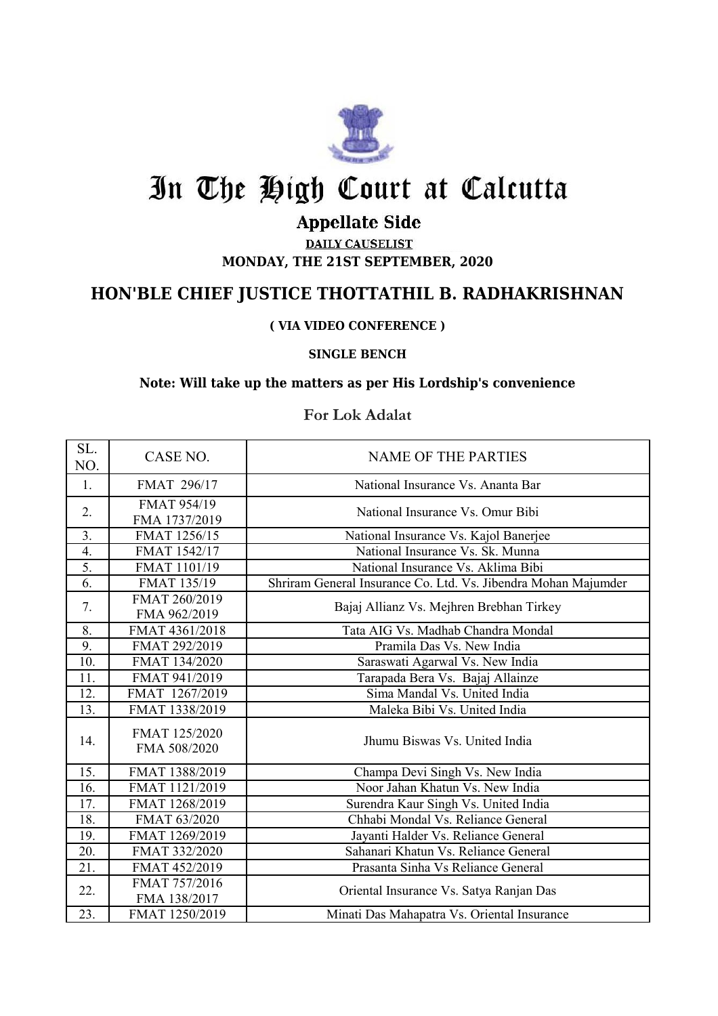

# In The High Court at Calcutta

## **Appellate Side**

**DAILY CAUSELIST MONDAY, THE 21ST SEPTEMBER, 2020**

### **HON'BLE CHIEF JUSTICE THOTTATHIL B. RADHAKRISHNAN**

#### **( VIA VIDEO CONFERENCE )**

#### **SINGLE BENCH**

#### **Note: Will take up the matters as per His Lordship's convenience**

#### **For Lok Adalat**

| SL.<br>NO.       | CASE NO.                      | <b>NAME OF THE PARTIES</b>                                     |
|------------------|-------------------------------|----------------------------------------------------------------|
| 1.               | FMAT 296/17                   | National Insurance Vs. Ananta Bar                              |
| 2.               | FMAT 954/19<br>FMA 1737/2019  | National Insurance Vs. Omur Bibi                               |
| 3.               | FMAT 1256/15                  | National Insurance Vs. Kajol Banerjee                          |
| 4.               | FMAT 1542/17                  | National Insurance Vs. Sk. Munna                               |
| $\overline{5}$ . | FMAT 1101/19                  | National Insurance Vs. Aklima Bibi                             |
| 6.               | FMAT 135/19                   | Shriram General Insurance Co. Ltd. Vs. Jibendra Mohan Majumder |
| 7.               | FMAT 260/2019<br>FMA 962/2019 | Bajaj Allianz Vs. Mejhren Brebhan Tirkey                       |
| 8.               | FMAT 4361/2018                | Tata AIG Vs. Madhab Chandra Mondal                             |
| 9.               | FMAT 292/2019                 | Pramila Das Vs. New India                                      |
| 10.              | FMAT 134/2020                 | Saraswati Agarwal Vs. New India                                |
| 11.              | FMAT 941/2019                 | Tarapada Bera Vs. Bajaj Allainze                               |
| 12.              | FMAT 1267/2019                | Sima Mandal Vs. United India                                   |
| 13.              | FMAT 1338/2019                | Maleka Bibi Vs. United India                                   |
| 14.              | FMAT 125/2020<br>FMA 508/2020 | Jhumu Biswas Vs. United India                                  |
| 15.              | FMAT 1388/2019                | Champa Devi Singh Vs. New India                                |
| 16.              | FMAT 1121/2019                | Noor Jahan Khatun Vs. New India                                |
| 17.              | FMAT 1268/2019                | Surendra Kaur Singh Vs. United India                           |
| 18.              | FMAT 63/2020                  | Chhabi Mondal Vs. Reliance General                             |
| 19.              | FMAT 1269/2019                | Jayanti Halder Vs. Reliance General                            |
| 20.              | FMAT 332/2020                 | Sahanari Khatun Vs. Reliance General                           |
| 21.              | FMAT 452/2019                 | Prasanta Sinha Vs Reliance General                             |
| 22.              | FMAT 757/2016<br>FMA 138/2017 | Oriental Insurance Vs. Satya Ranjan Das                        |
| 23.              | FMAT 1250/2019                | Minati Das Mahapatra Vs. Oriental Insurance                    |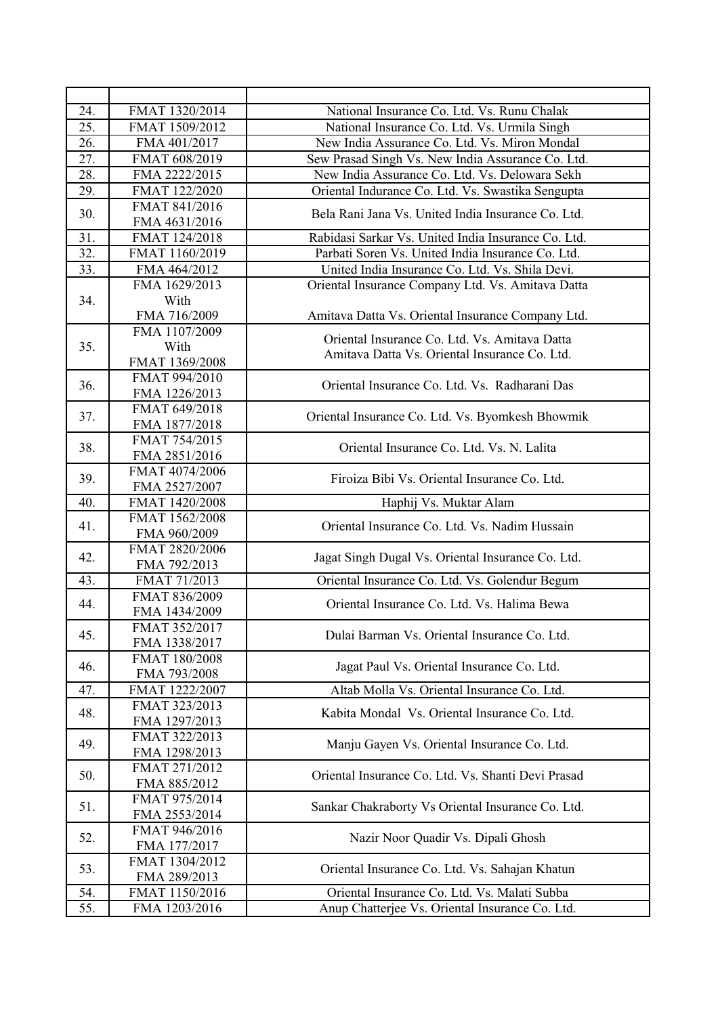| 24.               | FMAT 1320/2014                 | National Insurance Co. Ltd. Vs. Runu Chalak         |
|-------------------|--------------------------------|-----------------------------------------------------|
| 25.               | FMAT 1509/2012                 | National Insurance Co. Ltd. Vs. Urmila Singh        |
| 26.               | FMA 401/2017                   | New India Assurance Co. Ltd. Vs. Miron Mondal       |
| 27.               | FMAT 608/2019                  | Sew Prasad Singh Vs. New India Assurance Co. Ltd.   |
| 28.               | FMA 2222/2015                  | New India Assurance Co. Ltd. Vs. Delowara Sekh      |
| 29.               | FMAT 122/2020                  | Oriental Indurance Co. Ltd. Vs. Swastika Sengupta   |
| 30.               | FMAT 841/2016                  | Bela Rani Jana Vs. United India Insurance Co. Ltd.  |
|                   | FMA 4631/2016                  |                                                     |
| 31.               | FMAT 124/2018                  | Rabidasi Sarkar Vs. United India Insurance Co. Ltd. |
| $\overline{32}$ . | FMAT 1160/2019                 | Parbati Soren Vs. United India Insurance Co. Ltd.   |
| 33.               | FMA 464/2012                   | United India Insurance Co. Ltd. Vs. Shila Devi.     |
|                   | FMA 1629/2013                  | Oriental Insurance Company Ltd. Vs. Amitava Datta   |
| 34.               | With                           |                                                     |
|                   | FMA 716/2009                   | Amitava Datta Vs. Oriental Insurance Company Ltd.   |
|                   | FMA 1107/2009                  | Oriental Insurance Co. Ltd. Vs. Amitava Datta       |
| 35.               | With                           | Amitava Datta Vs. Oriental Insurance Co. Ltd.       |
|                   | FMAT 1369/2008                 |                                                     |
| 36.               | FMAT 994/2010                  | Oriental Insurance Co. Ltd. Vs. Radharani Das       |
|                   | FMA 1226/2013                  |                                                     |
| 37.               | FMAT 649/2018<br>FMA 1877/2018 | Oriental Insurance Co. Ltd. Vs. Byomkesh Bhowmik    |
|                   | FMAT 754/2015                  |                                                     |
| 38.               | FMA 2851/2016                  | Oriental Insurance Co. Ltd. Vs. N. Lalita           |
|                   | FMAT 4074/2006                 |                                                     |
| 39.               | FMA 2527/2007                  | Firoiza Bibi Vs. Oriental Insurance Co. Ltd.        |
| 40.               | FMAT 1420/2008                 | Haphij Vs. Muktar Alam                              |
|                   | FMAT 1562/2008                 |                                                     |
| 41.               | FMA 960/2009                   | Oriental Insurance Co. Ltd. Vs. Nadim Hussain       |
| 42.               | FMAT 2820/2006                 | Jagat Singh Dugal Vs. Oriental Insurance Co. Ltd.   |
|                   | FMA 792/2013                   |                                                     |
| 43.               | FMAT 71/2013                   | Oriental Insurance Co. Ltd. Vs. Golendur Begum      |
| 44.               | FMAT 836/2009                  | Oriental Insurance Co. Ltd. Vs. Halima Bewa         |
|                   | FMA 1434/2009                  |                                                     |
| 45.               | FMAT 352/2017                  | Dulai Barman Vs. Oriental Insurance Co. Ltd.        |
|                   | FMA 1338/2017                  |                                                     |
| 46.               | FMAT 180/2008<br>FMA 793/2008  | Jagat Paul Vs. Oriental Insurance Co. Ltd.          |
| 47.               | FMAT 1222/2007                 | Altab Molla Vs. Oriental Insurance Co. Ltd.         |
|                   | FMAT 323/2013                  |                                                     |
| 48.               | FMA 1297/2013                  | Kabita Mondal Vs. Oriental Insurance Co. Ltd.       |
|                   | FMAT 322/2013                  |                                                     |
| 49.               | FMA 1298/2013                  | Manju Gayen Vs. Oriental Insurance Co. Ltd.         |
|                   | FMAT 271/2012                  |                                                     |
| 50.               | FMA 885/2012                   | Oriental Insurance Co. Ltd. Vs. Shanti Devi Prasad  |
| 51.               | FMAT 975/2014                  | Sankar Chakraborty Vs Oriental Insurance Co. Ltd.   |
|                   | FMA 2553/2014                  |                                                     |
| 52.               | FMAT 946/2016                  | Nazir Noor Quadir Vs. Dipali Ghosh                  |
|                   | FMA 177/2017                   |                                                     |
| 53.               | FMAT 1304/2012                 | Oriental Insurance Co. Ltd. Vs. Sahajan Khatun      |
|                   | FMA 289/2013                   |                                                     |
| 54.               | FMAT 1150/2016                 | Oriental Insurance Co. Ltd. Vs. Malati Subba        |
| 55.               | FMA 1203/2016                  | Anup Chatterjee Vs. Oriental Insurance Co. Ltd.     |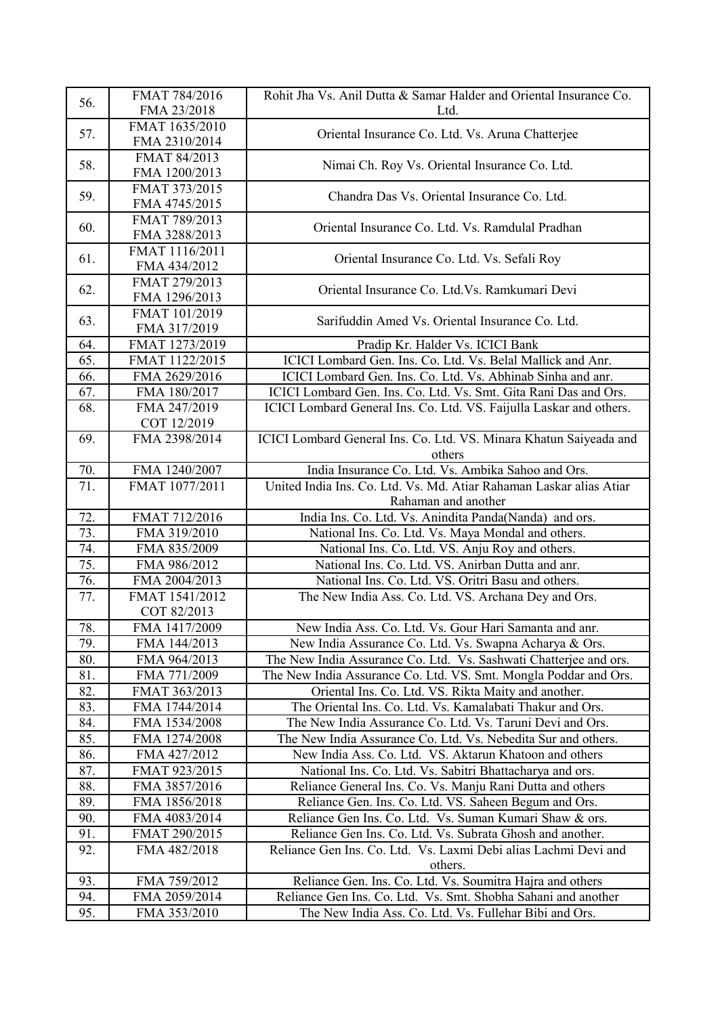| 56. | FMAT 784/2016<br>FMA 23/2018    | Rohit Jha Vs. Anil Dutta & Samar Halder and Oriental Insurance Co.<br>Ltd. |
|-----|---------------------------------|----------------------------------------------------------------------------|
| 57. | FMAT 1635/2010<br>FMA 2310/2014 | Oriental Insurance Co. Ltd. Vs. Aruna Chatterjee                           |
| 58. | FMAT 84/2013<br>FMA 1200/2013   | Nimai Ch. Roy Vs. Oriental Insurance Co. Ltd.                              |
| 59. | FMAT 373/2015<br>FMA 4745/2015  | Chandra Das Vs. Oriental Insurance Co. Ltd.                                |
| 60. | FMAT 789/2013<br>FMA 3288/2013  | Oriental Insurance Co. Ltd. Vs. Ramdulal Pradhan                           |
| 61. | FMAT 1116/2011<br>FMA 434/2012  | Oriental Insurance Co. Ltd. Vs. Sefali Roy                                 |
| 62. | FMAT 279/2013<br>FMA 1296/2013  | Oriental Insurance Co. Ltd. Vs. Ramkumari Devi                             |
| 63. | FMAT 101/2019<br>FMA 317/2019   | Sarifuddin Amed Vs. Oriental Insurance Co. Ltd.                            |
| 64. | FMAT 1273/2019                  | Pradip Kr. Halder Vs. ICICI Bank                                           |
| 65. | FMAT 1122/2015                  | ICICI Lombard Gen. Ins. Co. Ltd. Vs. Belal Mallick and Anr.                |
| 66. | FMA 2629/2016                   | ICICI Lombard Gen. Ins. Co. Ltd. Vs. Abhinab Sinha and anr.                |
| 67. | FMA 180/2017                    | ICICI Lombard Gen. Ins. Co. Ltd. Vs. Smt. Gita Rani Das and Ors.           |
| 68. | FMA 247/2019                    | ICICI Lombard General Ins. Co. Ltd. VS. Faijulla Laskar and others.        |
|     | COT 12/2019                     |                                                                            |
| 69. | FMA 2398/2014                   | ICICI Lombard General Ins. Co. Ltd. VS. Minara Khatun Saiyeada and         |
|     |                                 | others                                                                     |
| 70. | FMA 1240/2007                   | India Insurance Co. Ltd. Vs. Ambika Sahoo and Ors.                         |
| 71. | FMAT 1077/2011                  | United India Ins. Co. Ltd. Vs. Md. Atiar Rahaman Laskar alias Atiar        |
|     |                                 | Rahaman and another                                                        |
| 72. | FMAT 712/2016                   | India Ins. Co. Ltd. Vs. Anindita Panda(Nanda) and ors.                     |
| 73. | FMA 319/2010                    | National Ins. Co. Ltd. Vs. Maya Mondal and others.                         |
| 74. | FMA 835/2009                    | National Ins. Co. Ltd. VS. Anju Roy and others.                            |
| 75. | FMA 986/2012                    | National Ins. Co. Ltd. VS. Anirban Dutta and anr.                          |
| 76. | FMA 2004/2013                   | National Ins. Co. Ltd. VS. Oritri Basu and others.                         |
| 77. | FMAT 1541/2012                  | The New India Ass. Co. Ltd. VS. Archana Dey and Ors.                       |
|     | COT 82/2013                     |                                                                            |
| 78. | FMA 1417/2009                   | New India Ass. Co. Ltd. Vs. Gour Hari Samanta and anr.                     |
| 79. | FMA 144/2013                    | New India Assurance Co. Ltd. Vs. Swapna Acharya & Ors.                     |
| 80. | FMA 964/2013                    | The New India Assurance Co. Ltd. Vs. Sashwati Chatterjee and ors.          |
| 81. | FMA 771/2009                    | The New India Assurance Co. Ltd. VS. Smt. Mongla Poddar and Ors.           |
| 82. | FMAT 363/2013                   | Oriental Ins. Co. Ltd. VS. Rikta Maity and another.                        |
| 83. | FMA 1744/2014                   | The Oriental Ins. Co. Ltd. Vs. Kamalabati Thakur and Ors.                  |
| 84. | FMA 1534/2008                   | The New India Assurance Co. Ltd. Vs. Taruni Devi and Ors.                  |
| 85. | FMA 1274/2008                   | The New India Assurance Co. Ltd. Vs. Nebedita Sur and others.              |
| 86. | FMA 427/2012                    | New India Ass. Co. Ltd. VS. Aktarun Khatoon and others                     |
| 87. | FMAT 923/2015                   | National Ins. Co. Ltd. Vs. Sabitri Bhattacharya and ors.                   |
| 88. | FMA 3857/2016                   | Reliance General Ins. Co. Vs. Manju Rani Dutta and others                  |
| 89. | FMA 1856/2018                   | Reliance Gen. Ins. Co. Ltd. VS. Saheen Begum and Ors.                      |
| 90. | FMA 4083/2014                   | Reliance Gen Ins. Co. Ltd. Vs. Suman Kumari Shaw & ors.                    |
| 91. | FMAT 290/2015                   | Reliance Gen Ins. Co. Ltd. Vs. Subrata Ghosh and another.                  |
| 92. | FMA 482/2018                    | Reliance Gen Ins. Co. Ltd. Vs. Laxmi Debi alias Lachmi Devi and            |
|     |                                 | others.                                                                    |
| 93. | FMA 759/2012                    | Reliance Gen. Ins. Co. Ltd. Vs. Soumitra Hajra and others                  |
| 94. | FMA 2059/2014                   | Reliance Gen Ins. Co. Ltd. Vs. Smt. Shobha Sahani and another              |
| 95. | FMA 353/2010                    | The New India Ass. Co. Ltd. Vs. Fullehar Bibi and Ors.                     |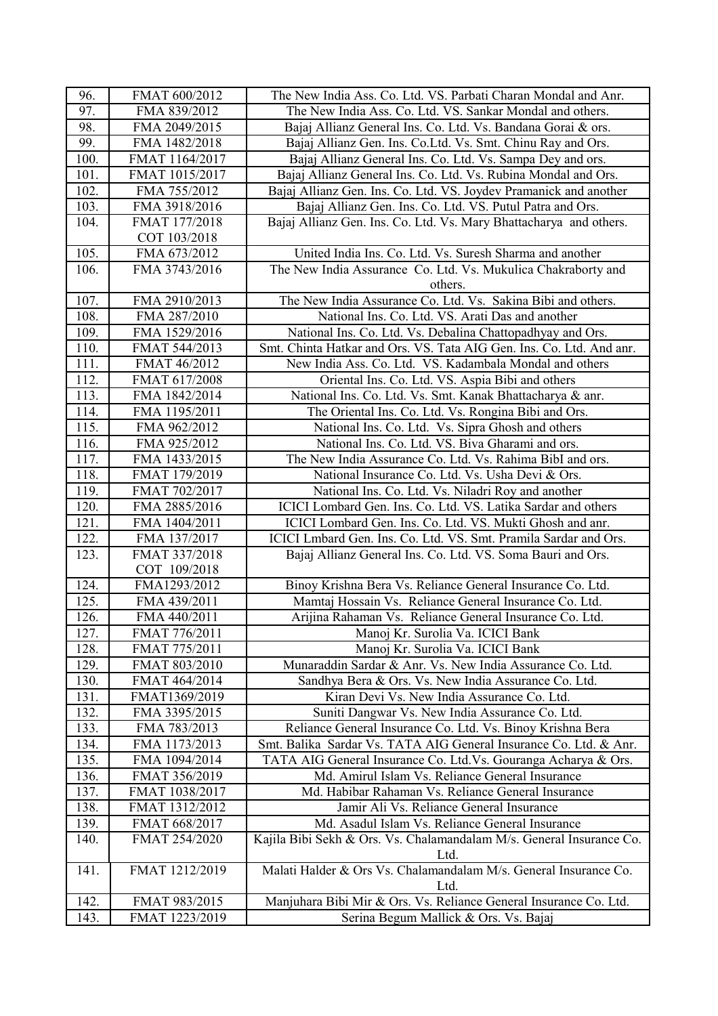| 96.  | FMAT 600/2012  | The New India Ass. Co. Ltd. VS. Parbati Charan Mondal and Anr.               |
|------|----------------|------------------------------------------------------------------------------|
| 97.  | FMA 839/2012   | The New India Ass. Co. Ltd. VS. Sankar Mondal and others.                    |
| 98.  | FMA 2049/2015  | Bajaj Allianz General Ins. Co. Ltd. Vs. Bandana Gorai & ors.                 |
| 99.  | FMA 1482/2018  | Bajaj Allianz Gen. Ins. Co.Ltd. Vs. Smt. Chinu Ray and Ors.                  |
| 100. | FMAT 1164/2017 | Bajaj Allianz General Ins. Co. Ltd. Vs. Sampa Dey and ors.                   |
| 101. | FMAT 1015/2017 | Bajaj Allianz General Ins. Co. Ltd. Vs. Rubina Mondal and Ors.               |
| 102. | FMA 755/2012   | Bajaj Allianz Gen. Ins. Co. Ltd. VS. Joydev Pramanick and another            |
| 103. | FMA 3918/2016  | Bajaj Allianz Gen. Ins. Co. Ltd. VS. Putul Patra and Ors.                    |
| 104. | FMAT 177/2018  | Bajaj Allianz Gen. Ins. Co. Ltd. Vs. Mary Bhattacharya and others.           |
|      | COT 103/2018   |                                                                              |
| 105. | FMA 673/2012   | United India Ins. Co. Ltd. Vs. Suresh Sharma and another                     |
| 106. | FMA 3743/2016  | The New India Assurance Co. Ltd. Vs. Mukulica Chakraborty and                |
|      |                | others.                                                                      |
| 107. | FMA 2910/2013  | The New India Assurance Co. Ltd. Vs. Sakina Bibi and others.                 |
| 108. | FMA 287/2010   | National Ins. Co. Ltd. VS. Arati Das and another                             |
| 109. | FMA 1529/2016  | National Ins. Co. Ltd. Vs. Debalina Chattopadhyay and Ors.                   |
| 110. | FMAT 544/2013  | Smt. Chinta Hatkar and Ors. VS. Tata AIG Gen. Ins. Co. Ltd. And anr.         |
| 111. | FMAT 46/2012   | New India Ass. Co. Ltd. VS. Kadambala Mondal and others                      |
| 112. | FMAT 617/2008  | Oriental Ins. Co. Ltd. VS. Aspia Bibi and others                             |
| 113. | FMA 1842/2014  | National Ins. Co. Ltd. Vs. Smt. Kanak Bhattacharya & anr.                    |
| 114. | FMA 1195/2011  | The Oriental Ins. Co. Ltd. Vs. Rongina Bibi and Ors.                         |
| 115. | FMA 962/2012   | National Ins. Co. Ltd. Vs. Sipra Ghosh and others                            |
| 116. | FMA 925/2012   | National Ins. Co. Ltd. VS. Biva Gharami and ors.                             |
| 117. | FMA 1433/2015  | The New India Assurance Co. Ltd. Vs. Rahima BibI and ors.                    |
| 118. | FMAT 179/2019  | National Insurance Co. Ltd. Vs. Usha Devi & Ors.                             |
| 119. | FMAT 702/2017  | National Ins. Co. Ltd. Vs. Niladri Roy and another                           |
| 120. | FMA 2885/2016  | ICICI Lombard Gen. Ins. Co. Ltd. VS. Latika Sardar and others                |
| 121. | FMA 1404/2011  | ICICI Lombard Gen. Ins. Co. Ltd. VS. Mukti Ghosh and anr.                    |
| 122. | FMA 137/2017   | ICICI Lmbard Gen. Ins. Co. Ltd. VS. Smt. Pramila Sardar and Ors.             |
| 123. | FMAT 337/2018  | Bajaj Allianz General Ins. Co. Ltd. VS. Soma Bauri and Ors.                  |
|      | COT 109/2018   |                                                                              |
| 124. | FMA1293/2012   | Binoy Krishna Bera Vs. Reliance General Insurance Co. Ltd.                   |
| 125. | FMA 439/2011   | Mamtaj Hossain Vs. Reliance General Insurance Co. Ltd.                       |
| 126. | FMA 440/2011   | Arijina Rahaman Vs. Reliance General Insurance Co. Ltd.                      |
| 127. | FMAT 776/2011  | Manoj Kr. Surolia Va. ICICI Bank                                             |
| 128. | FMAT 775/2011  | Manoj Kr. Surolia Va. ICICI Bank                                             |
| 129. | FMAT 803/2010  | Munaraddin Sardar & Anr. Vs. New India Assurance Co. Ltd.                    |
| 130. | FMAT 464/2014  | Sandhya Bera & Ors. Vs. New India Assurance Co. Ltd.                         |
| 131. | FMAT1369/2019  | Kiran Devi Vs. New India Assurance Co. Ltd.                                  |
| 132. | FMA 3395/2015  | Suniti Dangwar Vs. New India Assurance Co. Ltd.                              |
| 133. | FMA 783/2013   | Reliance General Insurance Co. Ltd. Vs. Binoy Krishna Bera                   |
| 134. | FMA 1173/2013  | Smt. Balika Sardar Vs. TATA AIG General Insurance Co. Ltd. & Anr.            |
| 135. | FMA 1094/2014  | TATA AIG General Insurance Co. Ltd. Vs. Gouranga Acharya & Ors.              |
| 136. | FMAT 356/2019  | Md. Amirul Islam Vs. Reliance General Insurance                              |
| 137. | FMAT 1038/2017 | Md. Habibar Rahaman Vs. Reliance General Insurance                           |
| 138. | FMAT 1312/2012 | Jamir Ali Vs. Reliance General Insurance                                     |
| 139. | FMAT 668/2017  | Md. Asadul Islam Vs. Reliance General Insurance                              |
| 140. | FMAT 254/2020  | Kajila Bibi Sekh & Ors. Vs. Chalamandalam M/s. General Insurance Co.<br>Ltd. |
| 141. | FMAT 1212/2019 | Malati Halder & Ors Vs. Chalamandalam M/s. General Insurance Co.<br>Ltd.     |
| 142. | FMAT 983/2015  | Manjuhara Bibi Mir & Ors. Vs. Reliance General Insurance Co. Ltd.            |
| 143. | FMAT 1223/2019 | Serina Begum Mallick & Ors. Vs. Bajaj                                        |
|      |                |                                                                              |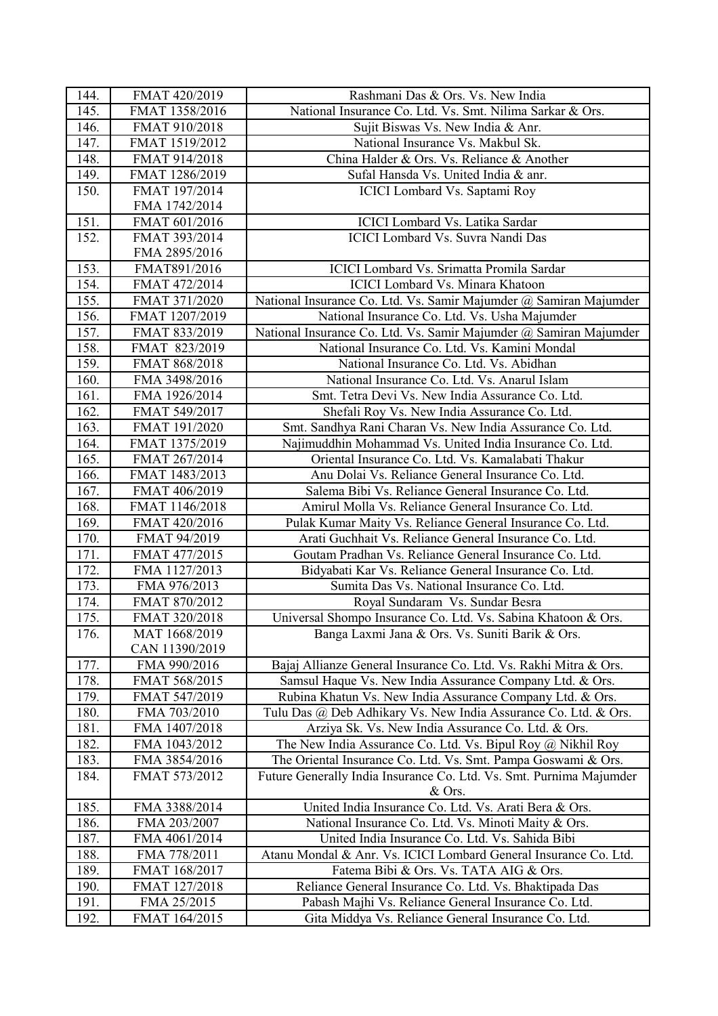| 144. | FMAT 420/2019  | Rashmani Das & Ors. Vs. New India                                   |
|------|----------------|---------------------------------------------------------------------|
| 145. | FMAT 1358/2016 | National Insurance Co. Ltd. Vs. Smt. Nilima Sarkar & Ors.           |
| 146. | FMAT 910/2018  | Sujit Biswas Vs. New India & Anr.                                   |
| 147. | FMAT 1519/2012 | National Insurance Vs. Makbul Sk.                                   |
| 148. | FMAT 914/2018  | China Halder & Ors. Vs. Reliance & Another                          |
| 149. | FMAT 1286/2019 | Sufal Hansda Vs. United India & anr.                                |
| 150. | FMAT 197/2014  | ICICI Lombard Vs. Saptami Roy                                       |
|      | FMA 1742/2014  |                                                                     |
| 151. | FMAT 601/2016  | ICICI Lombard Vs. Latika Sardar                                     |
| 152. | FMAT 393/2014  | <b>ICICI</b> Lombard Vs. Suvra Nandi Das                            |
|      | FMA 2895/2016  |                                                                     |
| 153. | FMAT891/2016   | ICICI Lombard Vs. Srimatta Promila Sardar                           |
| 154. | FMAT 472/2014  | <b>ICICI</b> Lombard Vs. Minara Khatoon                             |
| 155. | FMAT 371/2020  | National Insurance Co. Ltd. Vs. Samir Majumder @ Samiran Majumder   |
| 156. | FMAT 1207/2019 | National Insurance Co. Ltd. Vs. Usha Majumder                       |
| 157. | FMAT 833/2019  | National Insurance Co. Ltd. Vs. Samir Majumder @ Samiran Majumder   |
| 158. | FMAT 823/2019  | National Insurance Co. Ltd. Vs. Kamini Mondal                       |
| 159. | FMAT 868/2018  | National Insurance Co. Ltd. Vs. Abidhan                             |
| 160. | FMA 3498/2016  | National Insurance Co. Ltd. Vs. Anarul Islam                        |
| 161. | FMA 1926/2014  | Smt. Tetra Devi Vs. New India Assurance Co. Ltd.                    |
| 162. | FMAT 549/2017  | Shefali Roy Vs. New India Assurance Co. Ltd.                        |
| 163. | FMAT 191/2020  | Smt. Sandhya Rani Charan Vs. New India Assurance Co. Ltd.           |
| 164. | FMAT 1375/2019 | Najimuddhin Mohammad Vs. United India Insurance Co. Ltd.            |
| 165. | FMAT 267/2014  | Oriental Insurance Co. Ltd. Vs. Kamalabati Thakur                   |
| 166. | FMAT 1483/2013 | Anu Dolai Vs. Reliance General Insurance Co. Ltd.                   |
| 167. | FMAT 406/2019  | Salema Bibi Vs. Reliance General Insurance Co. Ltd.                 |
| 168. | FMAT 1146/2018 | Amirul Molla Vs. Reliance General Insurance Co. Ltd.                |
| 169. | FMAT 420/2016  | Pulak Kumar Maity Vs. Reliance General Insurance Co. Ltd.           |
| 170. | FMAT 94/2019   | Arati Guchhait Vs. Reliance General Insurance Co. Ltd.              |
| 171. | FMAT 477/2015  | Goutam Pradhan Vs. Reliance General Insurance Co. Ltd.              |
| 172. | FMA 1127/2013  | Bidyabati Kar Vs. Reliance General Insurance Co. Ltd.               |
| 173. | FMA 976/2013   | Sumita Das Vs. National Insurance Co. Ltd.                          |
| 174. | FMAT 870/2012  | Royal Sundaram Vs. Sundar Besra                                     |
| 175. | FMAT 320/2018  | Universal Shompo Insurance Co. Ltd. Vs. Sabina Khatoon & Ors.       |
| 176. | MAT 1668/2019  | Banga Laxmi Jana & Ors. Vs. Suniti Barik & Ors.                     |
|      | CAN 11390/2019 |                                                                     |
| 177. | FMA 990/2016   | Bajaj Allianze General Insurance Co. Ltd. Vs. Rakhi Mitra & Ors.    |
| 178. | FMAT 568/2015  | Samsul Haque Vs. New India Assurance Company Ltd. & Ors.            |
| 179. | FMAT 547/2019  | Rubina Khatun Vs. New India Assurance Company Ltd. & Ors.           |
| 180. | FMA 703/2010   | Tulu Das @ Deb Adhikary Vs. New India Assurance Co. Ltd. & Ors.     |
| 181. | FMA 1407/2018  | Arziya Sk. Vs. New India Assurance Co. Ltd. & Ors.                  |
| 182. | FMA 1043/2012  | The New India Assurance Co. Ltd. Vs. Bipul Roy @ Nikhil Roy         |
| 183. | FMA 3854/2016  | The Oriental Insurance Co. Ltd. Vs. Smt. Pampa Goswami & Ors.       |
| 184. | FMAT 573/2012  | Future Generally India Insurance Co. Ltd. Vs. Smt. Purnima Majumder |
|      |                | $&$ Ors.                                                            |
| 185. | FMA 3388/2014  | United India Insurance Co. Ltd. Vs. Arati Bera & Ors.               |
| 186. | FMA 203/2007   | National Insurance Co. Ltd. Vs. Minoti Maity & Ors.                 |
| 187. | FMA 4061/2014  | United India Insurance Co. Ltd. Vs. Sahida Bibi                     |
| 188. | FMA 778/2011   | Atanu Mondal & Anr. Vs. ICICI Lombard General Insurance Co. Ltd.    |
| 189. | FMAT 168/2017  | Fatema Bibi & Ors. Vs. TATA AIG & Ors.                              |
| 190. | FMAT 127/2018  | Reliance General Insurance Co. Ltd. Vs. Bhaktipada Das              |
| 191. | FMA 25/2015    | Pabash Majhi Vs. Reliance General Insurance Co. Ltd.                |
| 192. | FMAT 164/2015  | Gita Middya Vs. Reliance General Insurance Co. Ltd.                 |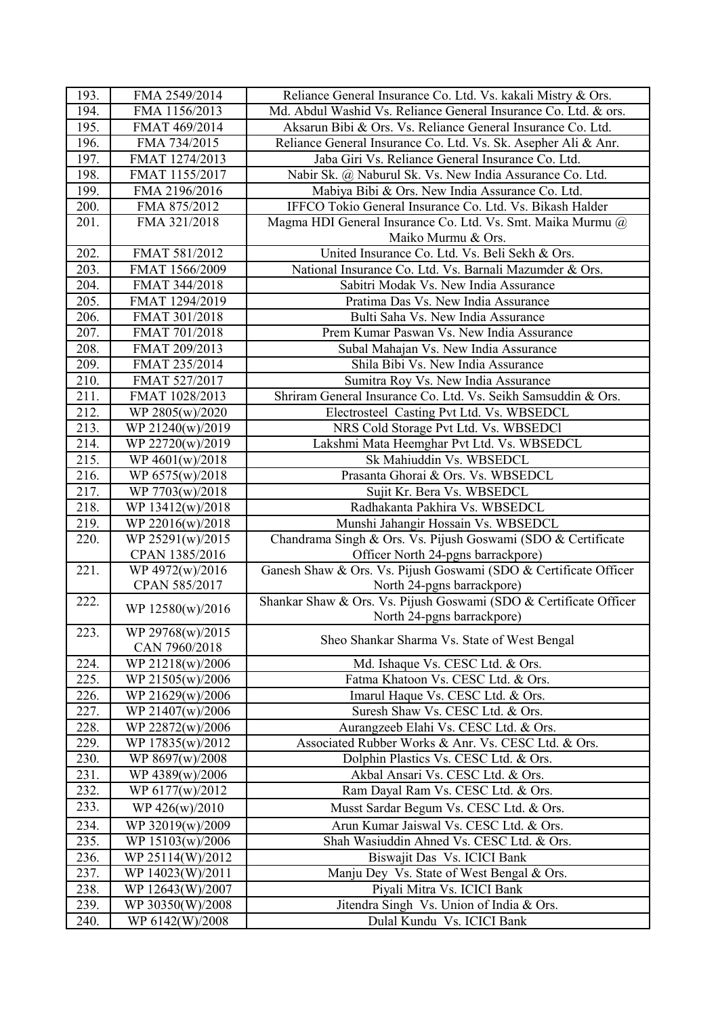| 193.         | FMA 2549/2014                     | Reliance General Insurance Co. Ltd. Vs. kakali Mistry & Ors.      |
|--------------|-----------------------------------|-------------------------------------------------------------------|
| 194.         | FMA 1156/2013                     | Md. Abdul Washid Vs. Reliance General Insurance Co. Ltd. & ors.   |
| 195.         | FMAT 469/2014                     | Aksarun Bibi & Ors. Vs. Reliance General Insurance Co. Ltd.       |
| 196.         | FMA 734/2015                      | Reliance General Insurance Co. Ltd. Vs. Sk. Asepher Ali & Anr.    |
| 197.         | FMAT 1274/2013                    | Jaba Giri Vs. Reliance General Insurance Co. Ltd.                 |
| 198.         | FMAT 1155/2017                    | Nabir Sk. @ Naburul Sk. Vs. New India Assurance Co. Ltd.          |
| 199.         | FMA 2196/2016                     | Mabiya Bibi & Ors. New India Assurance Co. Ltd.                   |
| 200.         | FMA 875/2012                      | IFFCO Tokio General Insurance Co. Ltd. Vs. Bikash Halder          |
| 201.         | FMA 321/2018                      | Magma HDI General Insurance Co. Ltd. Vs. Smt. Maika Murmu @       |
|              |                                   | Maiko Murmu & Ors.                                                |
| 202.         | FMAT 581/2012                     | United Insurance Co. Ltd. Vs. Beli Sekh & Ors.                    |
| 203.         | FMAT 1566/2009                    | National Insurance Co. Ltd. Vs. Barnali Mazumder & Ors.           |
| 204.         | FMAT 344/2018                     | Sabitri Modak Vs. New India Assurance                             |
| 205.         | FMAT 1294/2019                    | Pratima Das Vs. New India Assurance                               |
| 206.         | FMAT 301/2018                     | Bulti Saha Vs. New India Assurance                                |
| 207.         | FMAT 701/2018                     | Prem Kumar Paswan Vs. New India Assurance                         |
| 208.         | FMAT 209/2013                     | Subal Mahajan Vs. New India Assurance                             |
| 209.         | FMAT 235/2014                     | Shila Bibi Vs. New India Assurance                                |
| 210.         | FMAT 527/2017                     | Sumitra Roy Vs. New India Assurance                               |
| 211.         | FMAT 1028/2013                    | Shriram General Insurance Co. Ltd. Vs. Seikh Samsuddin & Ors.     |
| 212.         | WP 2805(w)/2020                   | Electrosteel Casting Pvt Ltd. Vs. WBSEDCL                         |
| 213.         | WP 21240(w)/2019                  | NRS Cold Storage Pvt Ltd. Vs. WBSEDCl                             |
| 214.         | WP 22720(w)/2019                  | Lakshmi Mata Heemghar Pvt Ltd. Vs. WBSEDCL                        |
| 215.         | WP 4601(w)/2018                   | Sk Mahiuddin Vs. WBSEDCL                                          |
| 216.         | WP 6575(w)/2018                   | Prasanta Ghorai & Ors. Vs. WBSEDCL                                |
| 217.         | WP 7703(w)/2018                   | Sujit Kr. Bera Vs. WBSEDCL                                        |
| 218.         | WP 13412(w)/2018                  | Radhakanta Pakhira Vs. WBSEDCL                                    |
| 219.         | WP 22016(w)/2018                  | Munshi Jahangir Hossain Vs. WBSEDCL                               |
| 220.         | WP 25291(w)/2015                  | Chandrama Singh & Ors. Vs. Pijush Goswami (SDO & Certificate      |
|              | CPAN 1385/2016                    | Officer North 24-pgns barrackpore)                                |
| 221.         | WP 4972(w)/2016                   | Ganesh Shaw & Ors. Vs. Pijush Goswami (SDO & Certificate Officer  |
|              | CPAN 585/2017                     | North 24-pgns barrackpore)                                        |
| 222.         | WP 12580(w)/2016                  | Shankar Shaw & Ors. Vs. Pijush Goswami (SDO & Certificate Officer |
|              |                                   | North 24-pgns barrackpore)                                        |
| 223.         | WP 29768(w)/2015<br>CAN 7960/2018 | Sheo Shankar Sharma Vs. State of West Bengal                      |
| 224.         | WP 21218(w)/2006                  | Md. Ishaque Vs. CESC Ltd. & Ors.                                  |
| 225.         | WP 21505(w)/2006                  | Fatma Khatoon Vs. CESC Ltd. & Ors.                                |
| 226.         | WP 21629(w)/2006                  | Imarul Haque Vs. CESC Ltd. & Ors.                                 |
| 227.         | WP 21407(w)/2006                  | Suresh Shaw Vs. CESC Ltd. & Ors.                                  |
| 228.         | WP 22872(w)/2006                  | Aurangzeeb Elahi Vs. CESC Ltd. & Ors.                             |
| 229.         | WP 17835(w)/2012                  | Associated Rubber Works & Anr. Vs. CESC Ltd. & Ors.               |
| 230.         | WP 8697(w)/2008                   | Dolphin Plastics Vs. CESC Ltd. & Ors.                             |
| 231.         | WP 4389(w)/2006                   | Akbal Ansari Vs. CESC Ltd. & Ors.                                 |
| 232.         | WP 6177(w)/2012                   | Ram Dayal Ram Vs. CESC Ltd. & Ors.                                |
| 233.         | WP $426(w)/2010$                  | Musst Sardar Begum Vs. CESC Ltd. & Ors.                           |
|              |                                   | Arun Kumar Jaiswal Vs. CESC Ltd. & Ors.                           |
| 234.         | WP 32019(w)/2009                  |                                                                   |
| 235.         | WP 15103(w)/2006                  | Shah Wasiuddin Ahned Vs. CESC Ltd. & Ors.                         |
| 236.<br>237. | WP 25114(W)/2012                  | Biswajit Das Vs. ICICI Bank                                       |
|              | WP 14023(W)/2011                  | Manju Dey Vs. State of West Bengal & Ors.                         |
| 238.         | WP 12643(W)/2007                  | Piyali Mitra Vs. ICICI Bank                                       |
| 239.         | WP 30350(W)/2008                  | Jitendra Singh Vs. Union of India & Ors.                          |
| 240.         | WP 6142(W)/2008                   | Dulal Kundu Vs. ICICI Bank                                        |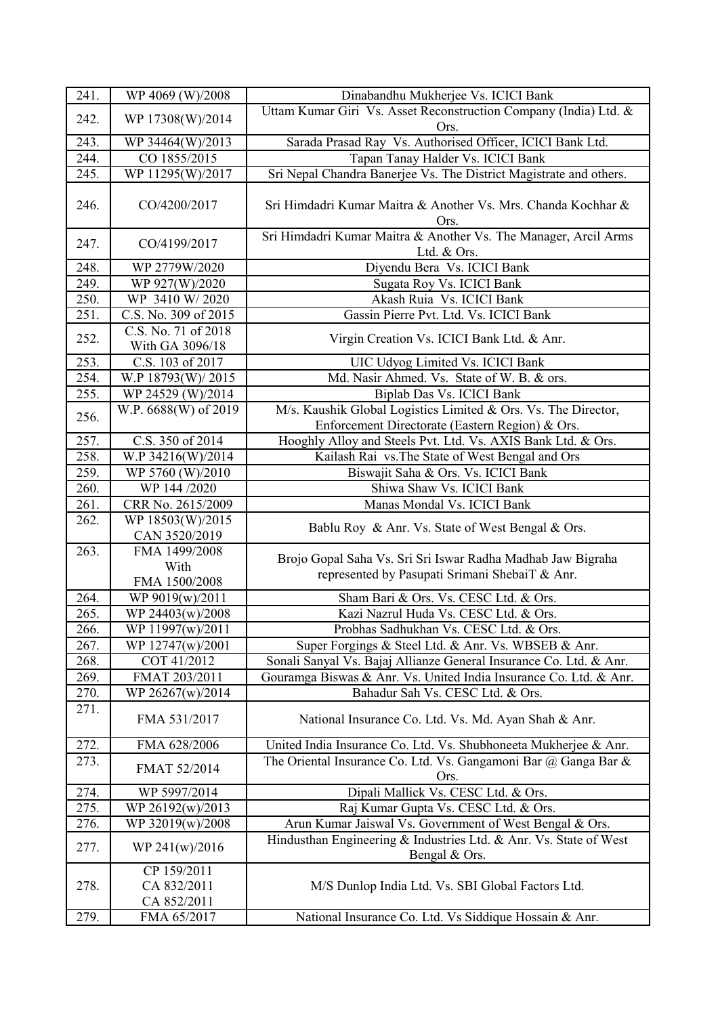| 241. | WP 4069 (W)/2008                  | Dinabandhu Mukherjee Vs. ICICI Bank                                                                               |
|------|-----------------------------------|-------------------------------------------------------------------------------------------------------------------|
|      |                                   | Uttam Kumar Giri Vs. Asset Reconstruction Company (India) Ltd. &                                                  |
| 242. | WP 17308(W)/2014                  | Ors.                                                                                                              |
| 243. | WP 34464(W)/2013                  | Sarada Prasad Ray Vs. Authorised Officer, ICICI Bank Ltd.                                                         |
| 244. | CO 1855/2015                      | Tapan Tanay Halder Vs. ICICI Bank                                                                                 |
| 245. | WP 11295(W)/2017                  | Sri Nepal Chandra Banerjee Vs. The District Magistrate and others.                                                |
| 246. | CO/4200/2017                      | Sri Himdadri Kumar Maitra & Another Vs. Mrs. Chanda Kochhar &<br>Ors.                                             |
| 247. | CO/4199/2017                      | Sri Himdadri Kumar Maitra & Another Vs. The Manager, Arcil Arms<br>Ltd. & Ors.                                    |
| 248. | WP 2779W/2020                     | Diyendu Bera Vs. ICICI Bank                                                                                       |
| 249. | WP 927(W)/2020                    | Sugata Roy Vs. ICICI Bank                                                                                         |
| 250. | WP 3410 W/2020                    | Akash Ruia Vs. ICICI Bank                                                                                         |
| 251. | C.S. No. 309 of 2015              | Gassin Pierre Pvt. Ltd. Vs. ICICI Bank                                                                            |
| 252. | C.S. No. 71 of 2018               | Virgin Creation Vs. ICICI Bank Ltd. & Anr.                                                                        |
|      | With GA 3096/18                   |                                                                                                                   |
| 253. | C.S. 103 of 2017                  | UIC Udyog Limited Vs. ICICI Bank                                                                                  |
| 254. | W.P 18793(W)/2015                 | Md. Nasir Ahmed. Vs. State of W. B. & ors.                                                                        |
| 255. | WP 24529 (W)/2014                 | Biplab Das Vs. ICICI Bank                                                                                         |
| 256. | W.P. 6688(W) of 2019              | M/s. Kaushik Global Logistics Limited & Ors. Vs. The Director,<br>Enforcement Directorate (Eastern Region) & Ors. |
| 257. | C.S. 350 of 2014                  | Hooghly Alloy and Steels Pvt. Ltd. Vs. AXIS Bank Ltd. & Ors.                                                      |
| 258. | W.P 34216(W)/2014                 | Kailash Rai vs. The State of West Bengal and Ors                                                                  |
| 259. | WP 5760 (W)/2010                  | Biswajit Saha & Ors. Vs. ICICI Bank                                                                               |
| 260. | WP 144 /2020                      | Shiwa Shaw Vs. ICICI Bank                                                                                         |
| 261. | CRR No. 2615/2009                 | Manas Mondal Vs. ICICI Bank                                                                                       |
| 262. | WP 18503(W)/2015<br>CAN 3520/2019 | Bablu Roy & Anr. Vs. State of West Bengal & Ors.                                                                  |
| 263. | FMA 1499/2008                     |                                                                                                                   |
|      | With                              | Brojo Gopal Saha Vs. Sri Sri Iswar Radha Madhab Jaw Bigraha<br>represented by Pasupati Srimani ShebaiT & Anr.     |
|      | FMA 1500/2008                     |                                                                                                                   |
| 264. | WP 9019(w)/2011                   | Sham Bari & Ors. Vs. CESC Ltd. & Ors.                                                                             |
| 265. | WP 24403(w)/2008                  | Kazi Nazrul Huda Vs. CESC Ltd. & Ors.                                                                             |
| 266. | WP 11997(w)/2011                  | Probhas Sadhukhan Vs. CESC Ltd. & Ors.                                                                            |
| 267. | WP 12747(w)/2001                  | Super Forgings & Steel Ltd. & Anr. Vs. WBSEB & Anr.                                                               |
| 268. | COT 41/2012                       | Sonali Sanyal Vs. Bajaj Allianze General Insurance Co. Ltd. & Anr.                                                |
| 269. | FMAT 203/2011                     | Gouramga Biswas & Anr. Vs. United India Insurance Co. Ltd. & Anr.                                                 |
| 270. | WP 26267(w)/2014                  | Bahadur Sah Vs. CESC Ltd. & Ors.                                                                                  |
| 271. | FMA 531/2017                      | National Insurance Co. Ltd. Vs. Md. Ayan Shah & Anr.                                                              |
| 272. | FMA 628/2006                      | United India Insurance Co. Ltd. Vs. Shubhoneeta Mukherjee & Anr.                                                  |
| 273. | FMAT 52/2014                      | The Oriental Insurance Co. Ltd. Vs. Gangamoni Bar $\omega$ Ganga Bar &<br>Ors.                                    |
| 274. | WP 5997/2014                      | Dipali Mallick Vs. CESC Ltd. & Ors.                                                                               |
| 275. | WP 26192(w)/2013                  | Raj Kumar Gupta Vs. CESC Ltd. & Ors.                                                                              |
| 276. | WP 32019(w)/2008                  | Arun Kumar Jaiswal Vs. Government of West Bengal & Ors.                                                           |
|      |                                   | Hindusthan Engineering & Industries Ltd. & Anr. Vs. State of West                                                 |
| 277. | WP 241(w)/2016                    | Bengal & Ors.                                                                                                     |
|      | CP 159/2011                       |                                                                                                                   |
| 278. | CA 832/2011                       | M/S Dunlop India Ltd. Vs. SBI Global Factors Ltd.                                                                 |
| 279. | CA 852/2011<br>FMA 65/2017        |                                                                                                                   |
|      |                                   | National Insurance Co. Ltd. Vs Siddique Hossain & Anr.                                                            |